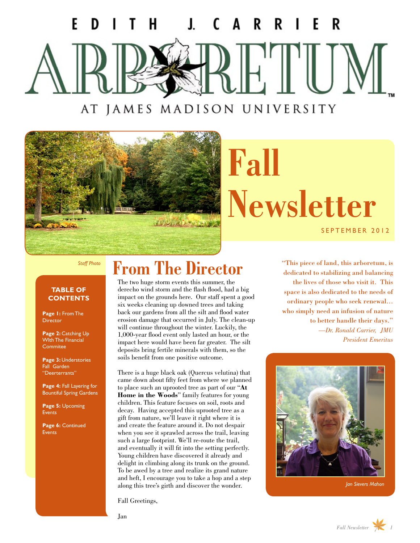## C F JAMES MADISON UNIVERSITY AT

The month of the sea

# **Fall Newsletter** SEPTEMBER 2012

*Staff Photo*

#### **TABLE OF CONTENTS**

**Page 1:** From The **Director** 

Page 2: Catching Up WIth The Financial **Commitee** 

**Page 3:** Understories Fall Garden "Deerterrants"

**Page 4:** Fall Layering for Bountiful Spring Gardens

**Page 5:** Upcoming Events

**Page 6:** Continued Events

### **From The Director**

The two huge storm events this summer, the derecho wind storm and the flash flood, had a big impact on the grounds here. Our staff spent a good six weeks cleaning up downed trees and taking back our gardens from all the silt and flood water erosion damage that occurred in July. The clean-up will continue throughout the winter. Luckily, the 1,000-year flood event only lasted an hour, or the impact here would have been far greater. The silt deposits bring fertile minerals with them, so the soils benefit from one positive outcome.

There is a huge black oak (Quercus velutina) that came down about fifty feet from where we planned to place such an uprooted tree as part of our "**[At](http://www.jmu.edu/arboretum/donate.shtml)  [Home in the Woods](http://www.jmu.edu/arboretum/donate.shtml)**" family features for young children. This feature focuses on soil, roots and decay. Having accepted this uprooted tree as a gift from nature, we'll leave it right where it is and create the feature around it. Do not despair when you see it sprawled across the trail, leaving such a large footprint. We'll re-route the trail, and eventually it will fit into the setting perfectly. Young children have discovered it already and delight in climbing along its trunk on the ground. To be awed by a tree and realize its grand nature and heft, I encourage you to take a hop and a step along this tree's girth and discover the wonder.

Fall Greetings,

"This piece of land, this arboretum, is dedicated to stabilizing and balancing the lives of those who visit it. This space is also dedicated to the needs of ordinary people who seek renewal… who simply need an infusion of nature to better handle their days." *—Dr. Ronald Carrier, JMU President Emeritus*



*Jan Sievers Mahon*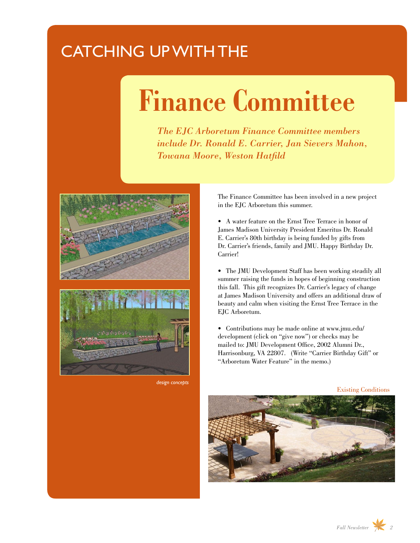### CATCHING UP WITH THE

# **Finance Committee**

*The EJC Arboretum Finance Committee members include Dr. Ronald E. Carrier, Jan Sievers Mahon, Towana Moore, Weston Hatfild* 



*design concepts*

The Finance Committee has been involved in a new project in the EJC Arboretum this summer.

• A water feature on the Ernst Tree Terrace in honor of James Madison University President Emeritus Dr. Ronald E. Carrier's 80th birthday is being funded by gifts from Dr. Carrier's friends, family and JMU. Happy Birthday Dr. Carrier!

• The JMU Development Staff has been working steadily all summer raising the funds in hopes of beginning construction this fall. This gift recognizes Dr. Carrier's legacy of change at James Madison University and offers an additional draw of beauty and calm when visiting the Ernst Tree Terrace in the EJC Arboretum.

• Contributions may be made online at [www.jmu.edu/](www.jmu.edu/development) [development](www.jmu.edu/development) (click on "give now") or checks may be mailed to: JMU Development Office, 2002 Alumni Dr., Harrisonburg, VA 22807. (Write "Carrier Birthday Gift" or "Arboretum Water Feature" in the memo.)

Existing Conditions

*Fall Newsletter 2*

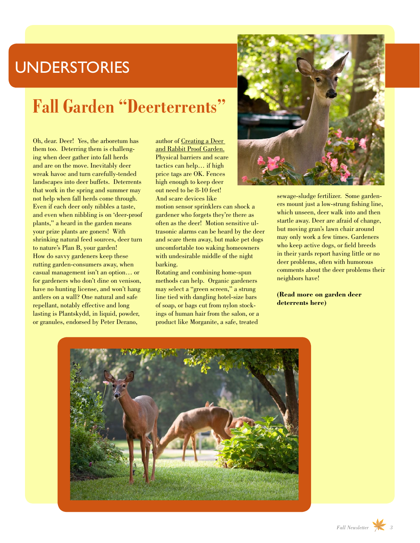#### **UNDERSTORIES**

### **Fall Garden "Deerterrents"**

Oh, dear. Deer! Yes, the arboretum has them too. Deterring them is challenging when deer gather into fall herds and are on the move. Inevitably deer wreak havoc and turn carefully-tended landscapes into deer buffets. Deterrents that work in the spring and summer may not help when fall herds come through. Even if each deer only nibbles a taste, and even when nibbling is on 'deer-proof plants," a heard in the garden means your prize plants are goners! With shrinking natural feed sources, deer turn to nature's Plan B, your garden! How do savvy gardeners keep these rutting garden-consumers away, when casual management isn't an option… or for gardeners who don't dine on venison, have no hunting license, and won't hang antlers on a wall? One natural and safe repellant, notably effective and long lasting is Plantskydd, in liquid, powder, or granules, endorsed by Peter Derano,

author of Creating a Deer and Rabbit Proof Garden. Physical barriers and scare tactics can help… if high price tags are OK. Fences high enough to keep deer out need to be 8-10 feet! And scare devices like

motion sensor sprinklers can shock a gardener who forgets they're there as often as the deer! Motion sensitive ultrasonic alarms can be heard by the deer and scare them away, but make pet dogs uncomfortable too waking homeowners with undesirable middle of the night barking.

Rotating and combining home-spun methods can help. Organic gardeners may select a "green screen," a strung line tied with dangling hotel-size bars of soap, or bags cut from nylon stockings of human hair from the salon, or a product like Morganite, a safe, treated



sewage-sludge fertilizer. Some gardeners mount just a low-strung fishing line, which unseen, deer walk into and then startle away. Deer are afraid of change, but moving gran's lawn chair around may only work a few times. Gardeners who keep active dogs, or field breeds in their yards report having little or no deer problems, often with humorous comments about the deer problems their neighbors have!

**[\(Read more on garden deer](#page-6-0)  [deterrents here\)](#page-6-0)**

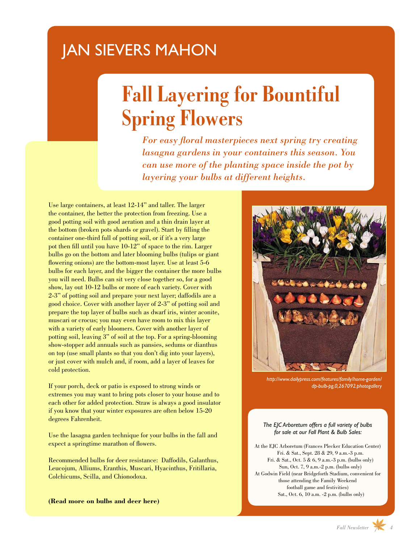#### JAN SIEVERS MAHON

## **Fall Layering for Bountiful Spring Flowers**

*For easy floral masterpieces next spring try creating lasagna gardens in your containers this season. You can use more of the planting space inside the pot by layering your bulbs at different heights.*

Use large containers, at least 12-14'' and taller. The larger the container, the better the protection from freezing. Use a good potting soil with good aeration and a thin drain layer at the bottom (broken pots shards or gravel). Start by filling the container one-third full of potting soil, or if it's a very large pot then fill until you have 10-12" of space to the rim. Larger bulbs go on the bottom and later blooming bulbs (tulips or giant flowering onions) are the bottom-most layer. Use at least 5-6 bulbs for each layer, and the bigger the container the more bulbs you will need. Bulbs can sit very close together so, for a good show, lay out 10-12 bulbs or more of each variety. Cover with 2-3" of potting soil and prepare your next layer; daffodils are a good choice. Cover with another layer of 2-3" of potting soil and prepare the top layer of bulbs such as dwarf iris, winter aconite, muscari or crocus; you may even have room to mix this layer with a variety of early bloomers. Cover with another layer of potting soil, leaving 3" of soil at the top. For a spring-blooming show-stopper add annuals such as pansies, sedums or dianthus on top (use small plants so that you don't dig into your layers), or just cover with mulch and, if room, add a layer of leaves for cold protection.

If your porch, deck or patio is exposed to strong winds or extremes you may want to bring pots closer to your house and to each other for added protection. Straw is always a good insulator if you know that your winter exposures are often below 15-20 degrees Fahrenheit.

Use the lasagna garden technique for your bulbs in the fall and expect a springtime marathon of flowers.

Recommended bulbs for deer resistance: Daffodils, Galanthus, Leucojum, Alliums, Eranthis, Muscari, Hyacinthus, Fritillaria, Colchicums, Scilla, and Chionodoxa.

**[\(Read more on bulbs and deer here\)](#page-6-0)**



*[http://www.dailypress.com/features/family/home-garden/](http://www.dailypress.com/features/family/home-garden/dp-bulb-pg,0,267092.photogallery) [dp-bulb-pg,0,267092.photogallery](http://www.dailypress.com/features/family/home-garden/dp-bulb-pg,0,267092.photogallery)*

#### *The EJC Arboretum offers a full variety of bulbs for sale at our Fall Plant & Bulb Sales:*

At the EJC Arboretum (Frances Plecker Education Center) Fri. & Sat., Sept. 28 & 29, 9 a.m.-3 p.m. Fri. & Sat., Oct. 5 & 6, 9 a.m.-3 p.m. (bulbs only) Sun, Oct. 7, 9 a.m.-2 p.m. (bulbs only) At Godwin Field (near Bridgeforth Stadium, convenient for those attending the Family Weekend football game and festivities) Sat., Oct. 6, 10 a.m. -2 p.m. (bulbs only)

*Fall Newsletter 4*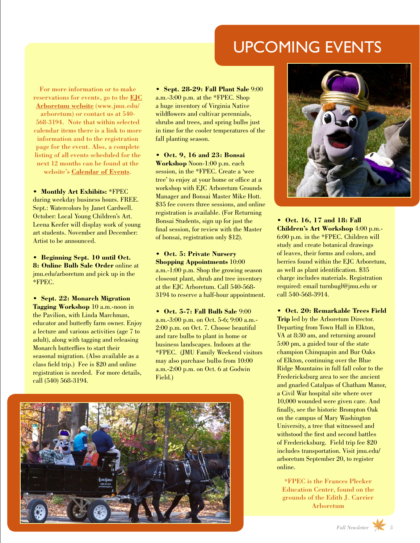#### UPCOMING EVENTS

For more information or to make reservations for events, go to the **[EJC](http://www.jmu.edu/arboretum)  [Arboretum website](http://www.jmu.edu/arboretum)** (www.jmu.edu/ arboretum) or contact us at 540- 568-3194. Note that within selected calendar items there is a link to more information and to the registration page for the event. Also, a complete listing of all events scheduled for the next 12 months can be found at the website's **[Calendar of Events](http://www.jmu.edu/arboretum/calendar-of-events.shtml)**.

**• Monthly Art Exhibits:** \*FPEC during weekday business hours. FREE. Sept.: Watercolors by Janet Cardwell. October: Local Young Children's Art. Leena Keefer will display work of young art students. November and December: Artist to be announced.

**• Beginning Sept. 10 until Oct. 8: Online Bulb Sale Order** online at <jmu.edu/arboretum>and pick up in the \*FPEC.

**• Sept. 22: Monarch Migration Tagging Workshop** 10 a.m.-noon in the Pavilion, with Linda Marchman, educator and butterfly farm owner. Enjoy a lecture and various activities (age 7 to adult), along with tagging and releasing Monarch butterflies to start their seasonal migration. (Also available as a class field trip.) Fee is \$20 and online registration is needed. For more details, call (540) 568-3194.

**• Sept. 28-29: Fall Plant Sale** 9:00 a.m.-3:00 p.m. at the \*FPEC. Shop a huge inventory of Virginia Native wildflowers and cultivar perennials, shrubs and trees, and spring bulbs just in time for the cooler temperatures of the fall planting season.

**• Oct. 9, 16 and 23: Bonsai Workshop** Noon-1:00 p.m. each session, in the \*FPEC. Create a 'wee tree' to enjoy at your home or office at a workshop with EJC Arboretum Grounds Manager and Bonsai Master Mike Hott. \$35 fee covers three sessions, and online registration is available. (For Returning Bonsai Students, sign up for just the final session, for review with the Master of bonsai, registration only \$12).

**• Oct. 5: Private Nursery Shopping Appointments** 10:00 a.m.-1:00 p.m. Shop the growing season closeout plant, shrub and tree inventory at the EJC Arboretum. Call 540-568- 3194 to reserve a half-hour appointment.

**• Oct. 5-7: Fall Bulb Sale** 9:00 a.m.-3:00 p.m. on Oct. 5-6; 9:00 a.m.- 2:00 p.m. on Oct. 7. Choose beautiful and rare bulbs to plant in home or business landscapes. Indoors at the \*FPEC. (JMU Family Weekend visitors may also purchase bulbs from 10:00 a.m.-2:00 p.m. on Oct. 6 at Godwin Field.)





**• Oct. 16, 17 and 18: Fall Children's Art Workshop** 4:00 p.m.- 6:00 p.m. in the \*FPEC. Children will study and create botanical drawings of leaves, their forms and colors, and berries found within the EJC Arboretum, as well as plant identification. \$35 charge includes materials. Registration required: email turnbugl@jmu.edu or call 540-568-3914.

**• Oct. 20: Remarkable Trees Field Trip** led by the Arboretum Director. Departing from Town Hall in Elkton, VA at 8:30 am, and returning around 5:00 pm, a guided tour of the state champion Chinquapin and Bur Oaks of Elkton, continuing over the Blue Ridge Mountains in full fall color to the Fredericksburg area to see the ancient and gnarled Catalpas of Chatham Manor, a Civil War hospital site where over 10,000 wounded were given care. And finally, see the historic Brompton Oak on the campus of Mary Washington University, a tree that witnessed and withstood the first and second battles of Fredericksburg. Field trip fee \$20 includes transportation. Visit [jmu.edu/](http://www.jmu.edu/arboretum/) [arboretum](http://www.jmu.edu/arboretum/) September 20, to register online.

\*FPEC is the Frances Plecker Education Center, found on the grounds of the Edith J. Carrier Arboretum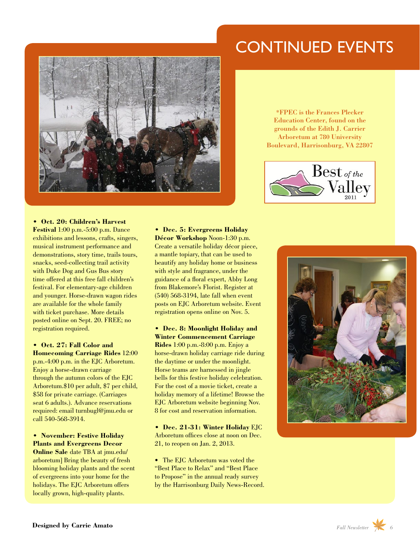#### CONTINUED EVENTS



\*FPEC is the Frances Plecker Education Center, found on the grounds of the Edith J. Carrier Arboretum at 780 University Boulevard, Harrisonburg, VA 22807



**• Oct. 20: Children's Harvest Festival** 1:00 p.m.-5:00 p.m. Dance exhibitions and lessons, crafts, singers, musical instrument performance and demonstrations, story time, trails tours, snacks, seed-collecting trail activity with Duke Dog and Gus Bus story time offered at this free fall children's festival. For elementary-age children and younger. Horse-drawn wagon rides are available for the whole family with ticket purchase. More details posted online on Sept. 20. FREE; no registration required.

**• Oct. 27: Fall Color and Homecoming Carriage Rides** 12:00 p.m.-4:00 p.m. in the EJC Arboretum. Enjoy a horse-drawn carriage through the autumn colors of the EJC Arboretum.\$10 per adult, \$7 per child, \$58 for private carriage. (Carriages seat 6 adults.). Advance reservations required: email turnbugl@jmu.edu or call 540-568-3914.

**• November: Festive Holiday Plants and Evergreens Decor Online Sale** date TBA at [jmu.edu/](http://www.jmu.edu/arboretum/) [arboretum\]](http://www.jmu.edu/arboretum/) Bring the beauty of fresh blooming holiday plants and the scent of evergreens into your home for the holidays. The EJC Arboretum offers locally grown, high-quality plants.

**• Dec. 5: Evergreens Holiday Décor Workshop** Noon-1:30 p.m. Create a versatile holiday décor piece, a mantle topiary, that can be used to beautify any holiday home or business with style and fragrance, under the guidance of a floral expert, Abby Long from Blakemore's Florist. Register at (540) 568-3194, late fall when event posts on EJC Arboretum website. Event registration opens online on Nov. 5.

**• Dec. 8: Moonlight Holiday and Winter Commencement Carriage Rides** 1:00 p.m.-8:00 p.m. Enjoy a horse-drawn holiday carriage ride during the daytime or under the moonlight. Horse teams are harnessed in jingle bells for this festive holiday celebration. For the cost of a movie ticket, create a holiday memory of a lifetime! Browse the EJC Arboretum website beginning Nov. 8 for cost and reservation information.

**• Dec. 21-31: Winter Holiday** EJC Arboretum offices close at noon on Dec. 21, to reopen on Jan. 2, 2013.

• The EIC Arboretum was voted the "Best Place to Relax" and "Best Place to Propose" in the annual ready survey by the Harrisonburg Daily News-Record.